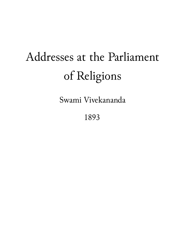# Addresses at the Parliament of Religions

Swami Vivekananda

1893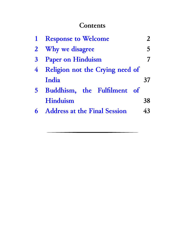#### **Contents**

|                | <b>Response to Welcome</b>      | $\mathfrak{D}$ |
|----------------|---------------------------------|----------------|
| $\overline{2}$ | Why we disagree                 | 5.             |
| 3              | <b>Paper on Hinduism</b>        |                |
| 4              | Religion not the Crying need of |                |
|                | India                           | 37             |
| $5 -$          | Buddhism, the Fulfilment of     |                |
|                | <b>Hinduism</b>                 | 38             |
|                | 6 Address at the Final Session  | 43             |
|                |                                 |                |

.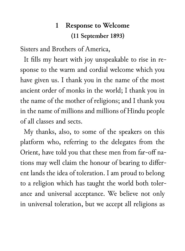#### **1 Response to Welcome (11 September 1893)**

Sisters and Brothers of America,

It fills my heart with joy unspeakable to rise in response to the warm and cordial welcome which you have given us. I thank you in the name of the most ancient order of monks in the world; I thank you in the name of the mother of religions; and I thank you in the name of millions and millions of Hindu people of all classes and sects.

My thanks, also, to some of the speakers on this platform who, referring to the delegates from the Orient, have told you that these men from far-off nations may well claim the honour of bearing to different lands the idea of toleration. I am proud to belong to a religion which has taught the world both tolerance and universal acceptance. We believe not only in universal toleration, but we accept all religions as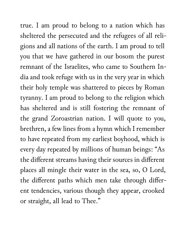true. I am proud to belong to a nation which has sheltered the persecuted and the refugees of all religions and all nations of the earth. I am proud to tell you that we have gathered in our bosom the purest remnant of the Israelites, who came to Southern India and took refuge with us in the very year in which their holy temple was shattered to pieces by Roman tyranny. I am proud to belong to the religion which has sheltered and is still fostering the remnant of the grand Zoroastrian nation. I will quote to you, brethren, a few lines from a hymn which I remember to have repeated from my earliest boyhood, which is every day repeated by millions of human beings: "As the different streams having their sources in different places all mingle their water in the sea, so, O Lord, the different paths which men take through different tendencies, various though they appear, crooked or straight, all lead to Thee."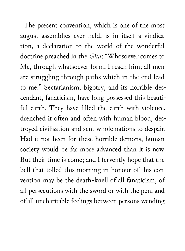The present convention, which is one of the most august assemblies ever held, is in itself a vindication, a declaration to the world of the wonderful doctrine preached in the *Gita*: "Whosoever comes to Me, through whatsoever form, I reach him; all men are struggling through paths which in the end lead to me." Sectarianism, bigotry, and its horrible descendant, fanaticism, have long possessed this beautiful earth. They have filled the earth with violence, drenched it often and often with human blood, destroyed civilisation and sent whole nations to despair. Had it not been for these horrible demons, human society would be far more advanced than it is now. But their time is come; and I fervently hope that the bell that tolled this morning in honour of this convention may be the death-knell of all fanaticism, of all persecutions with the sword or with the pen, and of all uncharitable feelings between persons wending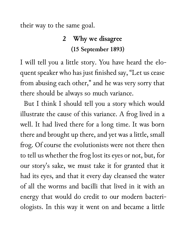their way to the same goal.

#### **2 Why we disagree (15 September 1893)**

I will tell you a little story. You have heard the eloquent speaker who has just finished say, "Let us cease from abusing each other," and he was very sorry that there should be always so much variance.

But I think I should tell you a story which would illustrate the cause of this variance. A frog lived in a well. It had lived there for a long time. It was born there and brought up there, and yet was a little, small frog. Of course the evolutionists were not there then to tell us whether the frog lost its eyes or not, but, for our story's sake, we must take it for granted that it had its eyes, and that it every day cleansed the water of all the worms and bacilli that lived in it with an energy that would do credit to our modern bacteriologists. In this way it went on and became a little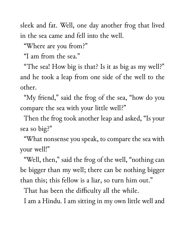sleek and fat. Well, one day another frog that lived in the sea came and fell into the well.

"Where are you from?"

"I am from the sea."

"The sea! How big is that? Is it as big as my well?" and he took a leap from one side of the well to the other.

"My friend," said the frog of the sea, "how do you compare the sea with your little well?"

Then the frog took another leap and asked, "Is your sea so big?"

"What nonsense you speak, to compare the sea with your well!"

"Well, then," said the frog of the well, "nothing can be bigger than my well; there can be nothing bigger than this; this fellow is a liar, so turn him out."

That has been the difficulty all the while.

I am a Hindu. I am sitting in my own little well and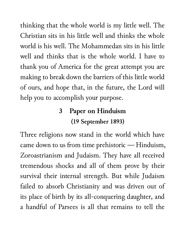thinking that the whole world is my little well. The Christian sits in his little well and thinks the whole world is his well. The Mohammedan sits in his little well and thinks that is the whole world. I have to thank you of America for the great attempt you are making to break down the barriers of this little world of ours, and hope that, in the future, the Lord will help you to accomplish your purpose.

#### **3 Paper on Hinduism (19 September 1893)**

Three religions now stand in the world which have came down to us from time prehistoric — Hinduism, Zoroastrianism and Judaism. They have all received tremendous shocks and all of them prove by their survival their internal strength. But while Judaism failed to absorb Christianity and was driven out of its place of birth by its all-conquering daughter, and a handful of Parsees is all that remains to tell the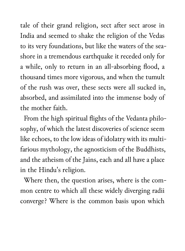tale of their grand religion, sect after sect arose in India and seemed to shake the religion of the Vedas to its very foundations, but like the waters of the seashore in a tremendous earthquake it receded only for a while, only to return in an all-absorbing flood, a thousand times more vigorous, and when the tumult of the rush was over, these sects were all sucked in, absorbed, and assimilated into the immense body of the mother faith.

From the high spiritual flights of the Vedanta philosophy, of which the latest discoveries of science seem like echoes, to the low ideas of idolatry with its multifarious mythology, the agnosticism of the Buddhists, and the atheism of the Jains, each and all have a place in the Hindu's religion.

Where then, the question arises, where is the common centre to which all these widely diverging radii converge? Where is the common basis upon which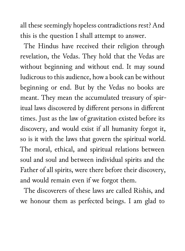all these seemingly hopeless contradictions rest? And this is the question I shall attempt to answer.

The Hindus have received their religion through revelation, the Vedas. They hold that the Vedas are without beginning and without end. It may sound ludicrous to this audience, how a book can be without beginning or end. But by the Vedas no books are meant. They mean the accumulated treasury of spiritual laws discovered by different persons in different times. Just as the law of gravitation existed before its discovery, and would exist if all humanity forgot it, so is it with the laws that govern the spiritual world. The moral, ethical, and spiritual relations between soul and soul and between individual spirits and the Father of all spirits, were there before their discovery, and would remain even if we forgot them.

The discoverers of these laws are called Rishis, and we honour them as perfected beings. I am glad to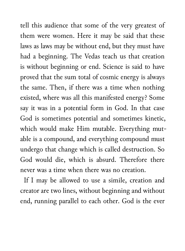tell this audience that some of the very greatest of them were women. Here it may be said that these laws as laws may be without end, but they must have had a beginning. The Vedas teach us that creation is without beginning or end. Science is said to have proved that the sum total of cosmic energy is always the same. Then, if there was a time when nothing existed, where was all this manifested energy? Some say it was in a potential form in God. In that case God is sometimes potential and sometimes kinetic, which would make Him mutable. Everything mutable is a compound, and everything compound must undergo that change which is called destruction. So God would die, which is absurd. Therefore there never was a time when there was no creation.

If I may be allowed to use a simile, creation and creator are two lines, without beginning and without end, running parallel to each other. God is the ever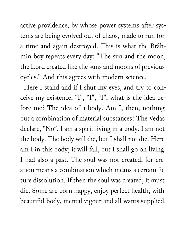active providence, by whose power systems after systems are being evolved out of chaos, made to run for a time and again destroyed. This is what the Brâhmin boy repeats every day: "The sun and the moon, the Lord created like the suns and moons of previous cycles." And this agrees with modern science.

Here I stand and if I shut my eyes, and try to conceive my existence, "I", "I", "I", what is the idea before me? The idea of a body. Am I, then, nothing but a combination of material substances? The Vedas declare, "No". I am a spirit living in a body. I am not the body. The body will die, but I shall not die. Here am I in this body; it will fall, but I shall go on living. I had also a past. The soul was not created, for creation means a combination which means a certain future dissolution. If then the soul was created, it must die. Some are born happy, enjoy perfect health, with beautiful body, mental vigour and all wants supplied.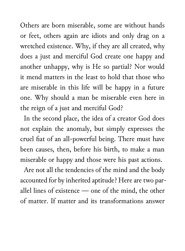Others are born miserable, some are without hands or feet, others again are idiots and only drag on a wretched existence. Why, if they are all created, why does a just and merciful God create one happy and another unhappy, why is He so partial? Nor would it mend matters in the least to hold that those who are miserable in this life will be happy in a future one. Why should a man be miserable even here in the reign of a just and merciful God?

In the second place, the idea of a creator God does not explain the anomaly, but simply expresses the cruel fiat of an all-powerful being. There must have been causes, then, before his birth, to make a man miserable or happy and those were his past actions.

Are not all the tendencies of the mind and the body accounted for by inherited aptitude? Here are two parallel lines of existence — one of the mind, the other of matter. If matter and its transformations answer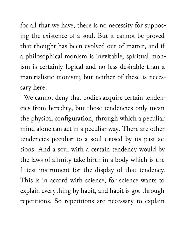for all that we have, there is no necessity for supposing the existence of a soul. But it cannot be proved that thought has been evolved out of matter, and if a philosophical monism is inevitable, spiritual monism is certainly logical and no less desirable than a materialistic monism; but neither of these is necessary here.

We cannot deny that bodies acquire certain tendencies from heredity, but those tendencies only mean the physical configuration, through which a peculiar mind alone can act in a peculiar way. There are other tendencies peculiar to a soul caused by its past actions. And a soul with a certain tendency would by the laws of affinity take birth in a body which is the fittest instrument for the display of that tendency. This is in accord with science, for science wants to explain everything by habit, and habit is got through repetitions. So repetitions are necessary to explain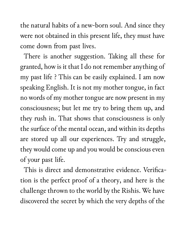the natural habits of a new-born soul. And since they were not obtained in this present life, they must have come down from past lives.

There is another suggestion. Taking all these for granted, how is it that I do not remember anything of my past life ? This can be easily explained. I am now speaking English. It is not my mother tongue, in fact no words of my mother tongue are now present in my consciousness; but let me try to bring them up, and they rush in. That shows that consciousness is only the surface of the mental ocean, and within its depths are stored up all our experiences. Try and struggle, they would come up and you would be conscious even of your past life.

This is direct and demonstrative evidence. Verification is the perfect proof of a theory, and here is the challenge thrown to the world by the Rishis. We have discovered the secret by which the very depths of the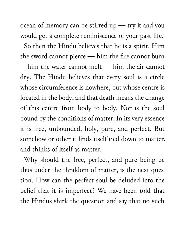ocean of memory can be stirred up — try it and you would get a complete reminiscence of your past life.

So then the Hindu believes that he is a spirit. Him the sword cannot pierce — him the fire cannot burn — him the water cannot melt — him the air cannot dry. The Hindu believes that every soul is a circle whose circumference is nowhere, but whose centre is located in the body, and that death means the change of this centre from body to body. Nor is the soul bound by the conditions of matter. In its very essence it is free, unbounded, holy, pure, and perfect. But somehow or other it finds itself tied down to matter, and thinks of itself as matter.

Why should the free, perfect, and pure being be thus under the thraldom of matter, is the next question. How can the perfect soul be deluded into the belief that it is imperfect? We have been told that the Hindus shirk the question and say that no such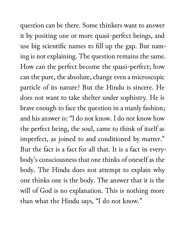question can be there. Some thinkers want to answer it by positing one or more quasi-perfect beings, and use big scientific names to fill up the gap. But naming is not explaining. The question remains the same. How can the perfect become the quasi-perfect; how can the pure, the absolute, change even a microscopic particle of its nature? But the Hindu is sincere. He does not want to take shelter under sophistry. He is brave enough to face the question in a manly fashion; and his answer is: "I do not know. I do not know how the perfect being, the soul, came to think of itself as imperfect, as joined to and conditioned by matter." But the fact is a fact for all that. It is a fact in everybody's consciousness that one thinks of oneself as the body. The Hindu does not attempt to explain why one thinks one is the body. The answer that it is the will of God is no explanation. This is nothing more than what the Hindu says, "I do not know."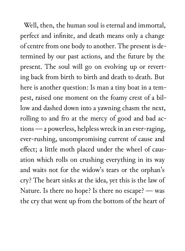Well, then, the human soul is eternal and immortal, perfect and infinite, and death means only a change of centre from one body to another. The present is determined by our past actions, and the future by the present. The soul will go on evolving up or reverting back from birth to birth and death to death. But here is another question: Is man a tiny boat in a tempest, raised one moment on the foamy crest of a billow and dashed down into a yawning chasm the next, rolling to and fro at the mercy of good and bad actions — a powerless, helpless wreck in an ever-raging, ever-rushing, uncompromising current of cause and effect; a little moth placed under the wheel of causation which rolls on crushing everything in its way and waits not for the widow's tears or the orphan's cry? The heart sinks at the idea, yet this is the law of Nature. Is there no hope? Is there no escape? — was the cry that went up from the bottom of the heart of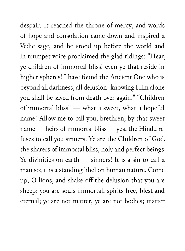despair. It reached the throne of mercy, and words of hope and consolation came down and inspired a Vedic sage, and he stood up before the world and in trumpet voice proclaimed the glad tidings: "Hear, ye children of immortal bliss! even ye that reside in higher spheres! I have found the Ancient One who is beyond all darkness, all delusion: knowing Him alone you shall be saved from death over again." "Children of immortal bliss" — what a sweet, what a hopeful name! Allow me to call you, brethren, by that sweet name — heirs of immortal bliss — yea, the Hindu refuses to call you sinners. Ye are the Children of God, the sharers of immortal bliss, holy and perfect beings. Ye divinities on earth — sinners! It is a sin to call a man so; it is a standing libel on human nature. Come up, O lions, and shake off the delusion that you are sheep; you are souls immortal, spirits free, blest and eternal; ye are not matter, ye are not bodies; matter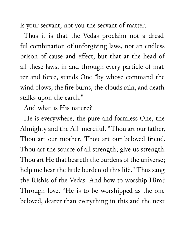is your servant, not you the servant of matter.

Thus it is that the Vedas proclaim not a dreadful combination of unforgiving laws, not an endless prison of cause and effect, but that at the head of all these laws, in and through every particle of matter and force, stands One "by whose command the wind blows, the fire burns, the clouds rain, and death stalks upon the earth."

And what is His nature?

He is everywhere, the pure and formless One, the Almighty and the All-merciful. "Thou art our father, Thou art our mother, Thou art our beloved friend, Thou art the source of all strength; give us strength. Thou art He that beareth the burdens of the universe; help me bear the little burden of this life." Thus sang the Rishis of the Vedas. And how to worship Him? Through love. "He is to be worshipped as the one beloved, dearer than everything in this and the next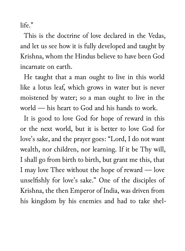life."

This is the doctrine of love declared in the Vedas, and let us see how it is fully developed and taught by Krishna, whom the Hindus believe to have been God incarnate on earth.

He taught that a man ought to live in this world like a lotus leaf, which grows in water but is never moistened by water; so a man ought to live in the world — his heart to God and his hands to work.

It is good to love God for hope of reward in this or the next world, but it is better to love God for love's sake, and the prayer goes: "Lord, I do not want wealth, nor children, nor learning. If it be Thy will, I shall go from birth to birth, but grant me this, that I may love Thee without the hope of reward — love unselfishly for love's sake." One of the disciples of Krishna, the then Emperor of India, was driven from his kingdom by his enemies and had to take shel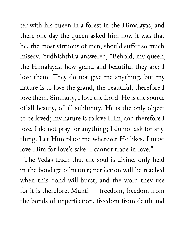ter with his queen in a forest in the Himalayas, and there one day the queen asked him how it was that he, the most virtuous of men, should suffer so much misery. Yudhishthira answered, "Behold, my queen, the Himalayas, how grand and beautiful they are; I love them. They do not give me anything, but my nature is to love the grand, the beautiful, therefore I love them. Similarly, I love the Lord. He is the source of all beauty, of all sublimity. He is the only object to be loved; my nature is to love Him, and therefore I love. I do not pray for anything; I do not ask for anything. Let Him place me wherever He likes. I must love Him for love's sake. I cannot trade in love."

The Vedas teach that the soul is divine, only held in the bondage of matter; perfection will be reached when this bond will burst, and the word they use for it is therefore, Mukti — freedom, freedom from the bonds of imperfection, freedom from death and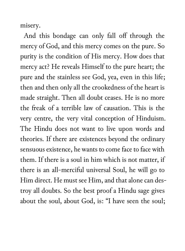misery.

And this bondage can only fall off through the mercy of God, and this mercy comes on the pure. So purity is the condition of His mercy. How does that mercy act? He reveals Himself to the pure heart; the pure and the stainless see God, yea, even in this life; then and then only all the crookedness of the heart is made straight. Then all doubt ceases. He is no more the freak of a terrible law of causation. This is the very centre, the very vital conception of Hinduism. The Hindu does not want to live upon words and theories. If there are existences beyond the ordinary sensuous existence, he wants to come face to face with them. If there is a soul in him which is not matter, if there is an all-merciful universal Soul, he will go to Him direct. He must see Him, and that alone can destroy all doubts. So the best proof a Hindu sage gives about the soul, about God, is: "I have seen the soul;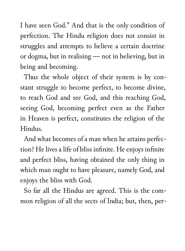I have seen God." And that is the only condition of perfection. The Hindu religion does not consist in struggles and attempts to believe a certain doctrine or dogma, but in realising — not in believing, but in being and becoming.

Thus the whole object of their system is by constant struggle to become perfect, to become divine, to reach God and see God, and this reaching God, seeing God, becoming perfect even as the Father in Heaven is perfect, constitutes the religion of the Hindus.

And what becomes of a man when he attains perfection? He lives a life of bliss infinite. He enjoys infinite and perfect bliss, having obtained the only thing in which man ought to have pleasure, namely God, and enjoys the bliss with God.

So far all the Hindus are agreed. This is the common religion of all the sects of India; but, then, per-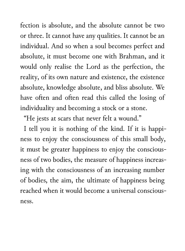fection is absolute, and the absolute cannot be two or three. It cannot have any qualities. It cannot be an individual. And so when a soul becomes perfect and absolute, it must become one with Brahman, and it would only realise the Lord as the perfection, the reality, of its own nature and existence, the existence absolute, knowledge absolute, and bliss absolute. We have often and often read this called the losing of individuality and becoming a stock or a stone.

"He jests at scars that never felt a wound."

I tell you it is nothing of the kind. If it is happiness to enjoy the consciousness of this small body, it must be greater happiness to enjoy the consciousness of two bodies, the measure of happiness increasing with the consciousness of an increasing number of bodies, the aim, the ultimate of happiness being reached when it would become a universal consciousness.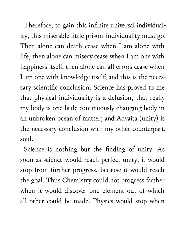Therefore, to gain this infinite universal individuality, this miserable little prison-individuality must go. Then alone can death cease when I am alone with life, then alone can misery cease when I am one with happiness itself, then alone can all errors cease when I am one with knowledge itself; and this is the necessary scientific conclusion. Science has proved to me that physical individuality is a delusion, that really my body is one little continuously changing body in an unbroken ocean of matter; and Advaita (unity) is the necessary conclusion with my other counterpart, soul.

Science is nothing but the finding of unity. As soon as science would reach perfect unity, it would stop from further progress, because it would reach the goal. Thus Chemistry could not progress farther when it would discover one element out of which all other could be made. Physics would stop when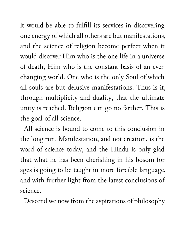it would be able to fulfill its services in discovering one energy of which all others are but manifestations, and the science of religion become perfect when it would discover Him who is the one life in a universe of death, Him who is the constant basis of an everchanging world. One who is the only Soul of which all souls are but delusive manifestations. Thus is it, through multiplicity and duality, that the ultimate unity is reached. Religion can go no farther. This is the goal of all science.

All science is bound to come to this conclusion in the long run. Manifestation, and not creation, is the word of science today, and the Hindu is only glad that what he has been cherishing in his bosom for ages is going to be taught in more forcible language, and with further light from the latest conclusions of science.

Descend we now from the aspirations of philosophy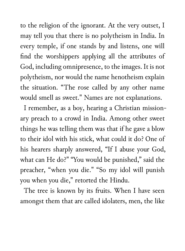to the religion of the ignorant. At the very outset, I may tell you that there is no polytheism in India. In every temple, if one stands by and listens, one will find the worshippers applying all the attributes of God, including omnipresence, to the images. It is not polytheism, nor would the name henotheism explain the situation. "The rose called by any other name would smell as sweet." Names are not explanations.

I remember, as a boy, hearing a Christian missionary preach to a crowd in India. Among other sweet things he was telling them was that if he gave a blow to their idol with his stick, what could it do? One of his hearers sharply answered, "If I abuse your God, what can He do?" "You would be punished," said the preacher, "when you die." "So my idol will punish you when you die," retorted the Hindu.

The tree is known by its fruits. When I have seen amongst them that are called idolaters, men, the like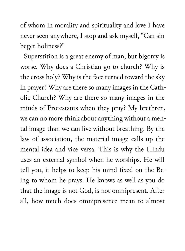of whom in morality and spirituality and love I have never seen anywhere, I stop and ask myself, "Can sin beget holiness?"

Superstition is a great enemy of man, but bigotry is worse. Why does a Christian go to church? Why is the cross holy? Why is the face turned toward the sky in prayer? Why are there so many images in the Catholic Church? Why are there so many images in the minds of Protestants when they pray? My brethren, we can no more think about anything without a mental image than we can live without breathing. By the law of association, the material image calls up the mental idea and vice versa. This is why the Hindu uses an external symbol when he worships. He will tell you, it helps to keep his mind fixed on the Being to whom he prays. He knows as well as you do that the image is not God, is not omnipresent. After all, how much does omnipresence mean to almost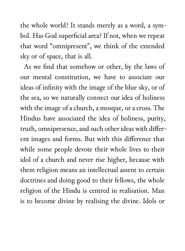the whole world? It stands merely as a word, a symbol. Has God superficial area? If not, when we repeat that word "omnipresent", we think of the extended sky or of space, that is all.

As we find that somehow or other, by the laws of our mental constitution, we have to associate our ideas of infinity with the image of the blue sky, or of the sea, so we naturally connect our idea of holiness with the image of a church, a mosque, or a cross. The Hindus have associated the idea of holiness, purity, truth, omnipresence, and such other ideas with different images and forms. But with this difference that while some people devote their whole lives to their idol of a church and never rise higher, because with them religion means an intellectual assent to certain doctrines and doing good to their fellows, the whole religion of the Hindu is centred in realisation. Man is to become divine by realising the divine. Idols or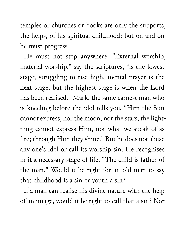temples or churches or books are only the supports, the helps, of his spiritual childhood: but on and on he must progress.

He must not stop anywhere. "External worship, material worship," say the scriptures, "is the lowest stage; struggling to rise high, mental prayer is the next stage, but the highest stage is when the Lord has been realised." Mark, the same earnest man who is kneeling before the idol tells you, "Him the Sun cannot express, nor the moon, nor the stars, the lightning cannot express Him, nor what we speak of as fire; through Him they shine." But he does not abuse any one's idol or call its worship sin. He recognises in it a necessary stage of life. "The child is father of the man." Would it be right for an old man to say that childhood is a sin or youth a sin?

If a man can realise his divine nature with the help of an image, would it be right to call that a sin? Nor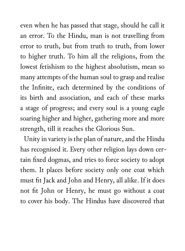even when he has passed that stage, should he call it an error. To the Hindu, man is not travelling from error to truth, but from truth to truth, from lower to higher truth. To him all the religions, from the lowest fetishism to the highest absolutism, mean so many attempts of the human soul to grasp and realise the Infinite, each determined by the conditions of its birth and association, and each of these marks a stage of progress; and every soul is a young eagle soaring higher and higher, gathering more and more strength, till it reaches the Glorious Sun.

Unity in variety is the plan of nature, and the Hindu has recognised it. Every other religion lays down certain fixed dogmas, and tries to force society to adopt them. It places before society only one coat which must fit Jack and John and Henry, all alike. If it does not fit John or Henry, he must go without a coat to cover his body. The Hindus have discovered that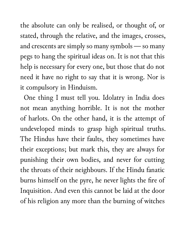the absolute can only be realised, or thought of, or stated, through the relative, and the images, crosses, and crescents are simply so many symbols — so many pegs to hang the spiritual ideas on. It is not that this help is necessary for every one, but those that do not need it have no right to say that it is wrong. Nor is it compulsory in Hinduism.

One thing I must tell you. Idolatry in India does not mean anything horrible. It is not the mother of harlots. On the other hand, it is the attempt of undeveloped minds to grasp high spiritual truths. The Hindus have their faults, they sometimes have their exceptions; but mark this, they are always for punishing their own bodies, and never for cutting the throats of their neighbours. If the Hindu fanatic burns himself on the pyre, he never lights the fire of Inquisition. And even this cannot be laid at the door of his religion any more than the burning of witches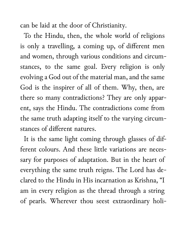can be laid at the door of Christianity.

To the Hindu, then, the whole world of religions is only a travelling, a coming up, of different men and women, through various conditions and circumstances, to the same goal. Every religion is only evolving a God out of the material man, and the same God is the inspirer of all of them. Why, then, are there so many contradictions? They are only apparent, says the Hindu. The contradictions come from the same truth adapting itself to the varying circumstances of different natures.

It is the same light coming through glasses of different colours. And these little variations are necessary for purposes of adaptation. But in the heart of everything the same truth reigns. The Lord has declared to the Hindu in His incarnation as Krishna, "I am in every religion as the thread through a string of pearls. Wherever thou seest extraordinary holi-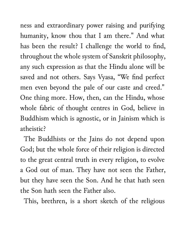ness and extraordinary power raising and purifying humanity, know thou that I am there." And what has been the result? I challenge the world to find, throughout the whole system of Sanskrit philosophy, any such expression as that the Hindu alone will be saved and not others. Says Vyasa, "We find perfect men even beyond the pale of our caste and creed." One thing more. How, then, can the Hindu, whose whole fabric of thought centres in God, believe in Buddhism which is agnostic, or in Jainism which is atheistic?

The Buddhists or the Jains do not depend upon God; but the whole force of their religion is directed to the great central truth in every religion, to evolve a God out of man. They have not seen the Father, but they have seen the Son. And he that hath seen the Son hath seen the Father also.

This, brethren, is a short sketch of the religious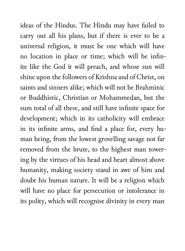ideas of the Hindus. The Hindu may have failed to carry out all his plans, but if there is ever to be a universal religion, it must be one which will have no location in place or time; which will be infinite like the God it will preach, and whose sun will shine upon the followers of Krishna and of Christ, on saints and sinners alike; which will not be Brahminic or Buddhistic, Christian or Mohammedan, but the sum total of all these, and still have infinite space for development; which in its catholicity will embrace in its infinite arms, and find a place for, every human being, from the lowest grovelling savage not far removed from the brute, to the highest man towering by the virtues of his head and heart almost above humanity, making society stand in awe of him and doubt his human nature. It will be a religion which will have no place for persecution or intolerance in its polity, which will recognise divinity in every man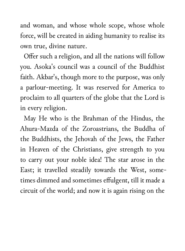and woman, and whose whole scope, whose whole force, will be created in aiding humanity to realise its own true, divine nature.

Offer such a religion, and all the nations will follow you. Asoka's council was a council of the Buddhist faith. Akbar's, though more to the purpose, was only a parlour-meeting. It was reserved for America to proclaim to all quarters of the globe that the Lord is in every religion.

May He who is the Brahman of the Hindus, the Ahura-Mazda of the Zoroastrians, the Buddha of the Buddhists, the Jehovah of the Jews, the Father in Heaven of the Christians, give strength to you to carry out your noble idea! The star arose in the East; it travelled steadily towards the West, sometimes dimmed and sometimes effulgent, till it made a circuit of the world; and now it is again rising on the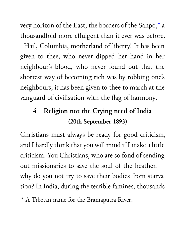very horizon of the East, the borders of the Sanpo,\* a thousandfold more effulgent than it ever was before.

Hail, Columbia, motherland of liberty! It has been given to thee, who never dipped her hand in her neighbour's blood, who never found out that the shortest way of becoming rich was by robbing one's neighbours, it has been given to thee to march at the vanguard of civilisation with the flag of harmony.

### **4 Religion not the Crying need of India (20th September 1893)**

Christians must always be ready for good criticism, and I hardly think that you will mind if I make a little criticism. You Christians, who are so fond of sending out missionaries to save the soul of the heathen why do you not try to save their bodies from starvation? In India, during the terrible famines, thousands

<sup>\*</sup> A Tibetan name for the Bramaputra River.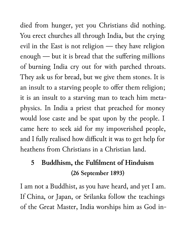died from hunger, yet you Christians did nothing. You erect churches all through India, but the crying evil in the East is not religion — they have religion enough — but it is bread that the suffering millions of burning India cry out for with parched throats. They ask us for bread, but we give them stones. It is an insult to a starving people to offer them religion; it is an insult to a starving man to teach him metaphysics. In India a priest that preached for money would lose caste and be spat upon by the people. I came here to seek aid for my impoverished people, and I fully realised how difficult it was to get help for heathens from Christians in a Christian land.

## **5 Buddhism, the Fulfilment of Hinduism (26 September 1893)**

I am not a Buddhist, as you have heard, and yet I am. If China, or Japan, or Srilanka follow the teachings of the Great Master, India worships him as God in-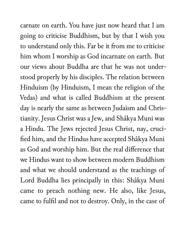carnate on earth. You have just now heard that I am going to criticise Buddhism, but by that I wish you to understand only this. Far be it from me to criticise him whom I worship as God incarnate on earth. But our views about Buddha are that he was not understood properly by his disciples. The relation between Hinduism (by Hinduism, I mean the religion of the Vedas) and what is called Buddhism at the present day is nearly the same as between Judaism and Christianity. Jesus Christ was a Jew, and Shâkya Muni was a Hindu. The Jews rejected Jesus Christ, nay, crucified him, and the Hindus have accepted Shâkya Muni as God and worship him. But the real difference that we Hindus want to show between modern Buddhism and what we should understand as the teachings of Lord Buddha lies principally in this: Shâkya Muni came to preach nothing new. He also, like Jesus, came to fulfil and not to destroy. Only, in the case of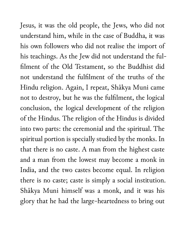Jesus, it was the old people, the Jews, who did not understand him, while in the case of Buddha, it was his own followers who did not realise the import of his teachings. As the Jew did not understand the fulfilment of the Old Testament, so the Buddhist did not understand the fulfilment of the truths of the Hindu religion. Again, I repeat, Shâkya Muni came not to destroy, but he was the fulfilment, the logical conclusion, the logical development of the religion of the Hindus. The religion of the Hindus is divided into two parts: the ceremonial and the spiritual. The spiritual portion is specially studied by the monks. In that there is no caste. A man from the highest caste and a man from the lowest may become a monk in India, and the two castes become equal. In religion there is no caste; caste is simply a social institution. Shâkya Muni himself was a monk, and it was his glory that he had the large-heartedness to bring out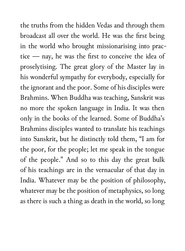the truths from the hidden Vedas and through them broadcast all over the world. He was the first being in the world who brought missionarising into practice — nay, he was the first to conceive the idea of proselytising. The great glory of the Master lay in his wonderful sympathy for everybody, especially for the ignorant and the poor. Some of his disciples were Brahmins. When Buddha was teaching, Sanskrit was no more the spoken language in India. It was then only in the books of the learned. Some of Buddha's Brahmins disciples wanted to translate his teachings into Sanskrit, but he distinctly told them, "I am for the poor, for the people; let me speak in the tongue of the people." And so to this day the great bulk of his teachings are in the vernacular of that day in India. Whatever may be the position of philosophy, whatever may be the position of metaphysics, so long as there is such a thing as death in the world, so long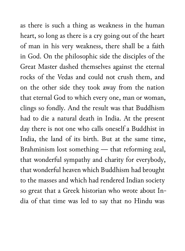as there is such a thing as weakness in the human heart, so long as there is a cry going out of the heart of man in his very weakness, there shall be a faith in God. On the philosophic side the disciples of the Great Master dashed themselves against the eternal rocks of the Vedas and could not crush them, and on the other side they took away from the nation that eternal God to which every one, man or woman, clings so fondly. And the result was that Buddhism had to die a natural death in India. At the present day there is not one who calls oneself a Buddhist in India, the land of its birth. But at the same time, Brahminism lost something — that reforming zeal, that wonderful sympathy and charity for everybody, that wonderful heaven which Buddhism had brought to the masses and which had rendered Indian society so great that a Greek historian who wrote about India of that time was led to say that no Hindu was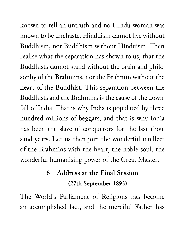known to tell an untruth and no Hindu woman was known to be unchaste. Hinduism cannot live without Buddhism, nor Buddhism without Hinduism. Then realise what the separation has shown to us, that the Buddhists cannot stand without the brain and philosophy of the Brahmins, nor the Brahmin without the heart of the Buddhist. This separation between the Buddhists and the Brahmins is the cause of the downfall of India. That is why India is populated by three hundred millions of beggars, and that is why India has been the slave of conquerors for the last thousand years. Let us then join the wonderful intellect of the Brahmins with the heart, the noble soul, the wonderful humanising power of the Great Master.

### **6 Address at the Final Session (27th September 1893)**

The World's Parliament of Religions has become an accomplished fact, and the merciful Father has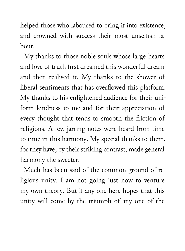helped those who laboured to bring it into existence, and crowned with success their most unselfish labour.

My thanks to those noble souls whose large hearts and love of truth first dreamed this wonderful dream and then realised it. My thanks to the shower of liberal sentiments that has overflowed this platform. My thanks to his enlightened audience for their uniform kindness to me and for their appreciation of every thought that tends to smooth the friction of religions. A few jarring notes were heard from time to time in this harmony. My special thanks to them, for they have, by their striking contrast, made general harmony the sweeter.

Much has been said of the common ground of religious unity. I am not going just now to venture my own theory. But if any one here hopes that this unity will come by the triumph of any one of the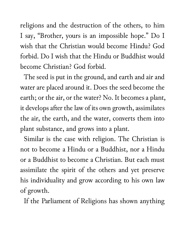religions and the destruction of the others, to him I say, "Brother, yours is an impossible hope." Do I wish that the Christian would become Hindu? God forbid. Do I wish that the Hindu or Buddhist would become Christian? God forbid.

The seed is put in the ground, and earth and air and water are placed around it. Does the seed become the earth; or the air, or the water? No. It becomes a plant, it develops after the law of its own growth, assimilates the air, the earth, and the water, converts them into plant substance, and grows into a plant.

Similar is the case with religion. The Christian is not to become a Hindu or a Buddhist, nor a Hindu or a Buddhist to become a Christian. But each must assimilate the spirit of the others and yet preserve his individuality and grow according to his own law of growth.

If the Parliament of Religions has shown anything